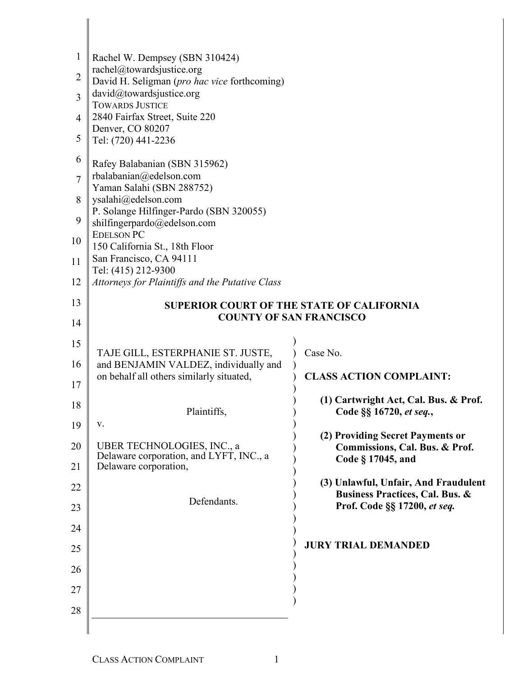| 1  | Rachel W. Dempsey (SBN 310424)<br>rachel@towardsjustice.org      |                                                                                    |  |
|----|------------------------------------------------------------------|------------------------------------------------------------------------------------|--|
| 2  | David H. Seligman (pro hac vice forthcoming)                     |                                                                                    |  |
| 3  | david@towardsjustice.org<br><b>TOWARDS JUSTICE</b>               |                                                                                    |  |
| 4  | 2840 Fairfax Street, Suite 220<br>Denver, CO 80207               |                                                                                    |  |
| 5  | Tel: (720) 441-2236                                              |                                                                                    |  |
| 6  | Rafey Balabanian (SBN 315962)                                    |                                                                                    |  |
| 7  | rbalabanian@edelson.com<br>Yaman Salahi (SBN 288752)             |                                                                                    |  |
| 8  | ysalahi@edelson.com<br>P. Solange Hilfinger-Pardo (SBN 320055)   |                                                                                    |  |
| 9  | shilfingerpardo@edelson.com                                      |                                                                                    |  |
| 10 | <b>EDELSON PC</b><br>150 California St., 18th Floor              |                                                                                    |  |
| 11 | San Francisco, CA 94111<br>Tel: (415) 212-9300                   |                                                                                    |  |
| 12 | Attorneys for Plaintiffs and the Putative Class                  |                                                                                    |  |
| 13 | <b>SUPERIOR COURT OF THE STATE OF CALIFORNIA</b>                 |                                                                                    |  |
| 14 | <b>COUNTY OF SAN FRANCISCO</b>                                   |                                                                                    |  |
| 15 | TAJE GILL, ESTERPHANIE ST. JUSTE,                                | Case No.                                                                           |  |
| 16 | and BENJAMIN VALDEZ, individually and                            |                                                                                    |  |
| 17 | on behalf all others similarly situated,                         | <b>CLASS ACTION COMPLAINT:</b>                                                     |  |
| 18 | Plaintiffs,                                                      | (1) Cartwright Act, Cal. Bus. & Prof.<br>Code §§ 16720, et seq.,                   |  |
| 19 | V.                                                               |                                                                                    |  |
| 20 | UBER TECHNOLOGIES, INC., a                                       | (2) Providing Secret Payments or<br>Commissions, Cal. Bus. & Prof.                 |  |
| 21 | Delaware corporation, and LYFT, INC., a<br>Delaware corporation, | Code § 17045, and                                                                  |  |
| 22 |                                                                  | (3) Unlawful, Unfair, And Fraudulent<br><b>Business Practices, Cal. Bus. &amp;</b> |  |
| 23 | Defendants.                                                      | Prof. Code §§ 17200, et seq.                                                       |  |
| 24 |                                                                  |                                                                                    |  |
| 25 |                                                                  | <b>JURY TRIAL DEMANDED</b>                                                         |  |
| 26 |                                                                  |                                                                                    |  |
| 27 |                                                                  |                                                                                    |  |
| 28 |                                                                  |                                                                                    |  |
|    |                                                                  |                                                                                    |  |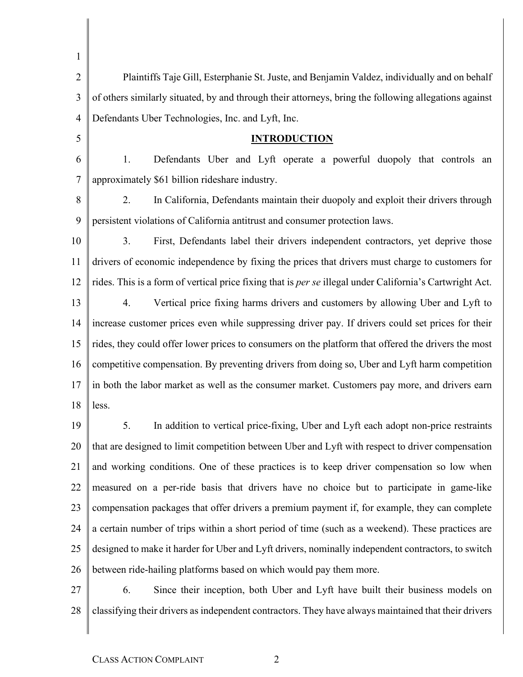| 1              |                                                                                                          |
|----------------|----------------------------------------------------------------------------------------------------------|
| $\overline{2}$ | Plaintiffs Taje Gill, Esterphanie St. Juste, and Benjamin Valdez, individually and on behalf             |
| 3              | of others similarly situated, by and through their attorneys, bring the following allegations against    |
| $\overline{4}$ | Defendants Uber Technologies, Inc. and Lyft, Inc.                                                        |
| 5              | <b>INTRODUCTION</b>                                                                                      |
| 6              | Defendants Uber and Lyft operate a powerful duopoly that controls an<br>1.                               |
| 7              | approximately \$61 billion rideshare industry.                                                           |
| 8              | 2.<br>In California, Defendants maintain their duopoly and exploit their drivers through                 |
| 9              | persistent violations of California antitrust and consumer protection laws.                              |
| 10             | 3.<br>First, Defendants label their drivers independent contractors, yet deprive those                   |
| 11             | drivers of economic independence by fixing the prices that drivers must charge to customers for          |
| 12             | rides. This is a form of vertical price fixing that is per se illegal under California's Cartwright Act. |
| 13             | Vertical price fixing harms drivers and customers by allowing Uber and Lyft to<br>4.                     |
| 14             | increase customer prices even while suppressing driver pay. If drivers could set prices for their        |
| 15             | rides, they could offer lower prices to consumers on the platform that offered the drivers the most      |
| 16             | competitive compensation. By preventing drivers from doing so, Uber and Lyft harm competition            |
| 17             | in both the labor market as well as the consumer market. Customers pay more, and drivers earn            |
| 18             | less.                                                                                                    |
| 19             | In addition to vertical price-fixing, Uber and Lyft each adopt non-price restraints<br>5.                |
| 20             | that are designed to limit competition between Uber and Lyft with respect to driver compensation         |
| 21             | and working conditions. One of these practices is to keep driver compensation so low when                |
| 22             | measured on a per-ride basis that drivers have no choice but to participate in game-like                 |
| 23             | compensation packages that offer drivers a premium payment if, for example, they can complete            |
| 24             | a certain number of trips within a short period of time (such as a weekend). These practices are         |
| 25             | designed to make it harder for Uber and Lyft drivers, nominally independent contractors, to switch       |
| 26             | between ride-hailing platforms based on which would pay them more.                                       |
| 27             | 6.<br>Since their inception, both Uber and Lyft have built their business models on                      |
| 28             | classifying their drivers as independent contractors. They have always maintained that their drivers     |

 $\parallel$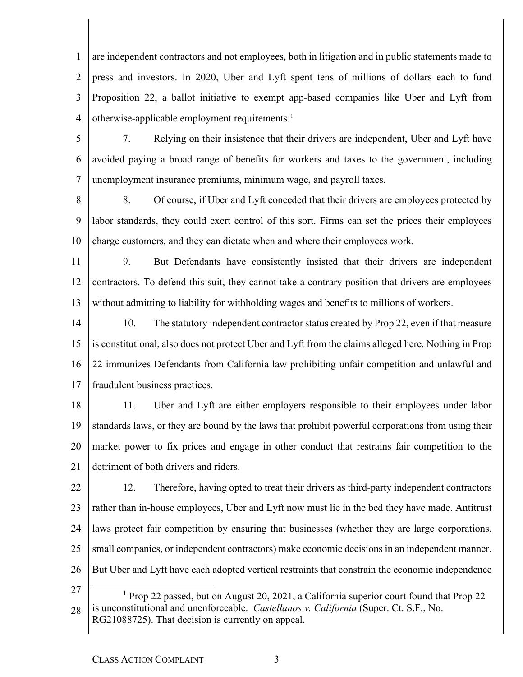1  $\mathfrak{D}$ 3 4 are independent contractors and not employees, both in litigation and in public statements made to press and investors. In 2020, Uber and Lyft spent tens of millions of dollars each to fund Proposition 22, a ballot initiative to exempt app-based companies like Uber and Lyft from otherwise-applicable employment requirements. [1](#page-2-0)

- 5 6 7 7. Relying on their insistence that their drivers are independent, Uber and Lyft have avoided paying a broad range of benefits for workers and taxes to the government, including unemployment insurance premiums, minimum wage, and payroll taxes.
- 8 9 10 8. Of course, if Uber and Lyft conceded that their drivers are employees protected by labor standards, they could exert control of this sort. Firms can set the prices their employees charge customers, and they can dictate when and where their employees work.
- 11 12 13 9. But Defendants have consistently insisted that their drivers are independent contractors. To defend this suit, they cannot take a contrary position that drivers are employees without admitting to liability for withholding wages and benefits to millions of workers.
- 14 15 16 17 10. The statutory independent contractor status created by Prop 22, even if that measure is constitutional, also does not protect Uber and Lyft from the claims alleged here. Nothing in Prop 22 immunizes Defendants from California law prohibiting unfair competition and unlawful and fraudulent business practices.
- 18 19 20 21 11. Uber and Lyft are either employers responsible to their employees under labor standards laws, or they are bound by the laws that prohibit powerful corporations from using their market power to fix prices and engage in other conduct that restrains fair competition to the detriment of both drivers and riders.
- 22 23 24 25 26 12. Therefore, having opted to treat their drivers as third-party independent contractors rather than in-house employees, Uber and Lyft now must lie in the bed they have made. Antitrust laws protect fair competition by ensuring that businesses (whether they are large corporations, small companies, or independent contractors) make economic decisions in an independent manner. But Uber and Lyft have each adopted vertical restraints that constrain the economic independence
- <span id="page-2-0"></span>27
- 28 <sup>1</sup> Prop 22 passed, but on August 20, 2021, a California superior court found that Prop 22 is unconstitutional and unenforceable. *Castellanos v. California* (Super. Ct. S.F., No. RG21088725). That decision is currently on appeal.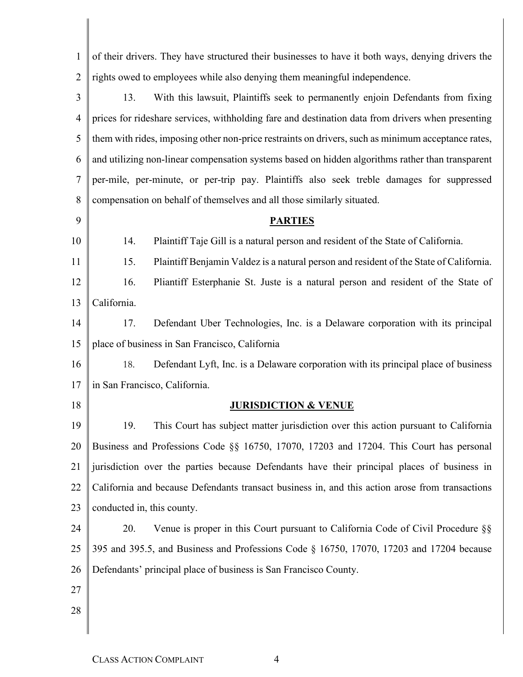| $\mathbf{1}$   | of their drivers. They have structured their businesses to have it both ways, denying drivers the  |
|----------------|----------------------------------------------------------------------------------------------------|
| $\overline{2}$ | rights owed to employees while also denying them meaningful independence.                          |
| 3              | With this lawsuit, Plaintiffs seek to permanently enjoin Defendants from fixing<br>13.             |
| $\overline{4}$ | prices for rideshare services, withholding fare and destination data from drivers when presenting  |
| 5              | them with rides, imposing other non-price restraints on drivers, such as minimum acceptance rates, |
| 6              | and utilizing non-linear compensation systems based on hidden algorithms rather than transparent   |
| 7              | per-mile, per-minute, or per-trip pay. Plaintiffs also seek treble damages for suppressed          |
| 8              | compensation on behalf of themselves and all those similarly situated.                             |
| 9              | <b>PARTIES</b>                                                                                     |
| 10             | Plaintiff Taje Gill is a natural person and resident of the State of California.<br>14.            |
| 11             | Plaintiff Benjamin Valdez is a natural person and resident of the State of California.<br>15.      |
| 12             | 16.<br>Pliantiff Esterphanie St. Juste is a natural person and resident of the State of            |
| 13             | California.                                                                                        |
| 14             | 17.<br>Defendant Uber Technologies, Inc. is a Delaware corporation with its principal              |
| 15             | place of business in San Francisco, California                                                     |
| 16             | Defendant Lyft, Inc. is a Delaware corporation with its principal place of business<br>18.         |
| 17             | in San Francisco, California.                                                                      |
| 18             | <b>JURISDICTION &amp; VENUE</b>                                                                    |
| 19             | 19.<br>This Court has subject matter jurisdiction over this action pursuant to California          |
| 20             | Business and Professions Code §§ 16750, 17070, 17203 and 17204. This Court has personal            |
| 21             | jurisdiction over the parties because Defendants have their principal places of business in        |
| 22             | California and because Defendants transact business in, and this action arose from transactions    |
| 23             | conducted in, this county.                                                                         |
| 24             | 20.<br>Venue is proper in this Court pursuant to California Code of Civil Procedure §§             |
| 25             | 395 and 395.5, and Business and Professions Code § 16750, 17070, 17203 and 17204 because           |
| 26             | Defendants' principal place of business is San Francisco County.                                   |
| 27             |                                                                                                    |
| 28             |                                                                                                    |
|                |                                                                                                    |

 $\mathbb{I}$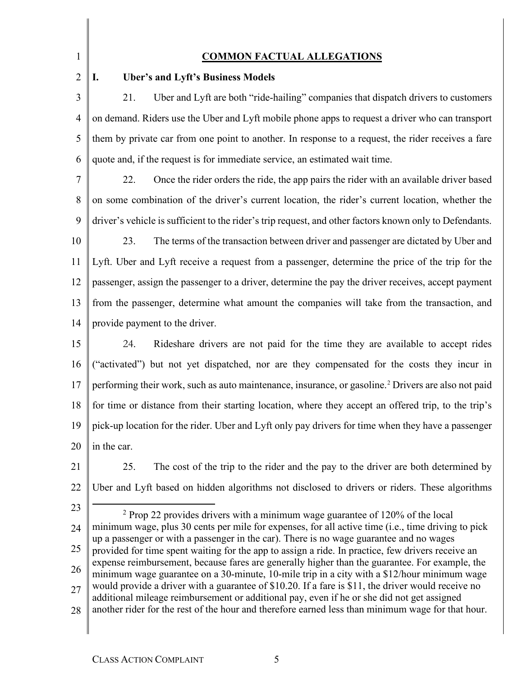1  $\overline{2}$ 

#### **COMMON FACTUAL ALLEGATIONS**

#### **I. Uber's and Lyft's Business Models**

3 4 5 6 21. Uber and Lyft are both "ride-hailing" companies that dispatch drivers to customers on demand. Riders use the Uber and Lyft mobile phone apps to request a driver who can transport them by private car from one point to another. In response to a request, the rider receives a fare quote and, if the request is for immediate service, an estimated wait time.

7 8 9 10 11 22. Once the rider orders the ride, the app pairs the rider with an available driver based on some combination of the driver's current location, the rider's current location, whether the driver's vehicle is sufficient to the rider's trip request, and other factors known only to Defendants. 23. The terms of the transaction between driver and passenger are dictated by Uber and Lyft. Uber and Lyft receive a request from a passenger, determine the price of the trip for the

12 13 14 passenger, assign the passenger to a driver, determine the pay the driver receives, accept payment from the passenger, determine what amount the companies will take from the transaction, and provide payment to the driver.

15 16 17 18 19 20 24. Rideshare drivers are not paid for the time they are available to accept rides ("activated") but not yet dispatched, nor are they compensated for the costs they incur in performing their work, such as auto maintenance, insurance, or gasoline.<sup>[2](#page-4-0)</sup> Drivers are also not paid for time or distance from their starting location, where they accept an offered trip, to the trip's pick-up location for the rider. Uber and Lyft only pay drivers for time when they have a passenger in the car.

21

22 25. The cost of the trip to the rider and the pay to the driver are both determined by Uber and Lyft based on hidden algorithms not disclosed to drivers or riders. These algorithms

<span id="page-4-0"></span>23

24 25 26 27 28  $2$  Prop 22 provides drivers with a minimum wage guarantee of 120% of the local minimum wage, plus 30 cents per mile for expenses, for all active time (i.e., time driving to pick up a passenger or with a passenger in the car). There is no wage guarantee and no wages provided for time spent waiting for the app to assign a ride. In practice, few drivers receive an expense reimbursement, because fares are generally higher than the guarantee. For example, the minimum wage guarantee on a 30-minute, 10-mile trip in a city with a \$12/hour minimum wage would provide a driver with a guarantee of \$10.20. If a fare is \$11, the driver would receive no additional mileage reimbursement or additional pay, even if he or she did not get assigned another rider for the rest of the hour and therefore earned less than minimum wage for that hour.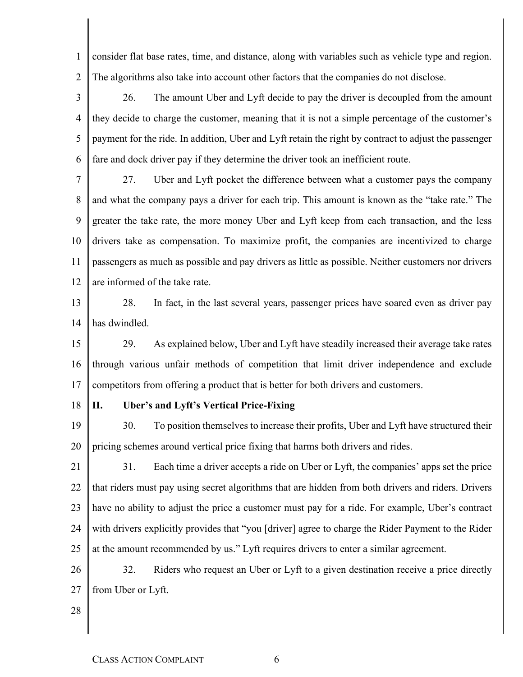1  $\mathfrak{D}$ consider flat base rates, time, and distance, along with variables such as vehicle type and region. The algorithms also take into account other factors that the companies do not disclose.

- 3 4 5 6 26. The amount Uber and Lyft decide to pay the driver is decoupled from the amount they decide to charge the customer, meaning that it is not a simple percentage of the customer's payment for the ride. In addition, Uber and Lyft retain the right by contract to adjust the passenger fare and dock driver pay if they determine the driver took an inefficient route.
- 7 8 9 10 11 12 27. Uber and Lyft pocket the difference between what a customer pays the company and what the company pays a driver for each trip. This amount is known as the "take rate." The greater the take rate, the more money Uber and Lyft keep from each transaction, and the less drivers take as compensation. To maximize profit, the companies are incentivized to charge passengers as much as possible and pay drivers as little as possible. Neither customers nor drivers are informed of the take rate.
- 13 14 28. In fact, in the last several years, passenger prices have soared even as driver pay has dwindled.
- 15 16 17 29. As explained below, Uber and Lyft have steadily increased their average take rates through various unfair methods of competition that limit driver independence and exclude competitors from offering a product that is better for both drivers and customers.
- 18

#### **II. Uber's and Lyft's Vertical Price-Fixing**

19 20 30. To position themselves to increase their profits, Uber and Lyft have structured their pricing schemes around vertical price fixing that harms both drivers and rides.

21 22 23 24 25 31. Each time a driver accepts a ride on Uber or Lyft, the companies' apps set the price that riders must pay using secret algorithms that are hidden from both drivers and riders. Drivers have no ability to adjust the price a customer must pay for a ride. For example, Uber's contract with drivers explicitly provides that "you [driver] agree to charge the Rider Payment to the Rider at the amount recommended by us." Lyft requires drivers to enter a similar agreement.

26 27 32. Riders who request an Uber or Lyft to a given destination receive a price directly from Uber or Lyft.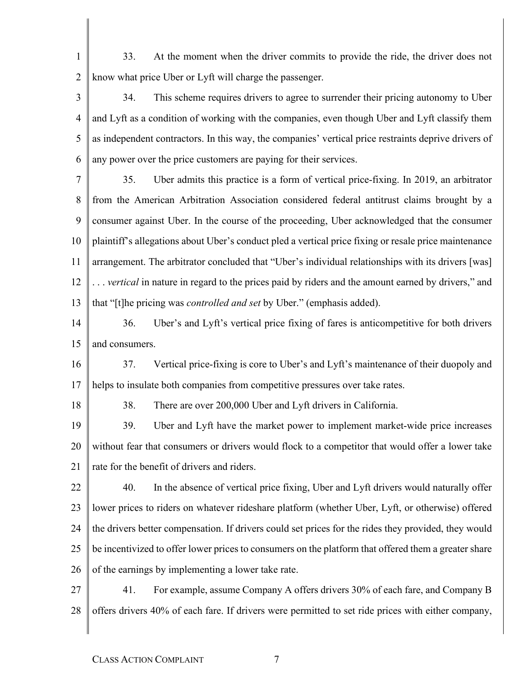- 1  $\mathcal{D}_{\mathcal{L}}$ 33. At the moment when the driver commits to provide the ride, the driver does not know what price Uber or Lyft will charge the passenger.
- 3 4 5 6 34. This scheme requires drivers to agree to surrender their pricing autonomy to Uber and Lyft as a condition of working with the companies, even though Uber and Lyft classify them as independent contractors. In this way, the companies' vertical price restraints deprive drivers of any power over the price customers are paying for their services.
- 7 8 9 10 11 12 13 35. Uber admits this practice is a form of vertical price-fixing. In 2019, an arbitrator from the American Arbitration Association considered federal antitrust claims brought by a consumer against Uber. In the course of the proceeding, Uber acknowledged that the consumer plaintiff's allegations about Uber's conduct pled a vertical price fixing or resale price maintenance arrangement. The arbitrator concluded that "Uber's individual relationships with its drivers [was] . . . *vertical* in nature in regard to the prices paid by riders and the amount earned by drivers," and that "[t]he pricing was *controlled and set* by Uber." (emphasis added).
- 14 15 36. Uber's and Lyft's vertical price fixing of fares is anticompetitive for both drivers and consumers.
- 16 17 37. Vertical price-fixing is core to Uber's and Lyft's maintenance of their duopoly and helps to insulate both companies from competitive pressures over take rates.
- 18

38. There are over 200,000 Uber and Lyft drivers in California.

19 20 21 39. Uber and Lyft have the market power to implement market-wide price increases without fear that consumers or drivers would flock to a competitor that would offer a lower take rate for the benefit of drivers and riders.

- 22 23 24 25 26 40. In the absence of vertical price fixing, Uber and Lyft drivers would naturally offer lower prices to riders on whatever rideshare platform (whether Uber, Lyft, or otherwise) offered the drivers better compensation. If drivers could set prices for the rides they provided, they would be incentivized to offer lower prices to consumers on the platform that offered them a greater share of the earnings by implementing a lower take rate.
- 27 28 41. For example, assume Company A offers drivers 30% of each fare, and Company B offers drivers 40% of each fare. If drivers were permitted to set ride prices with either company,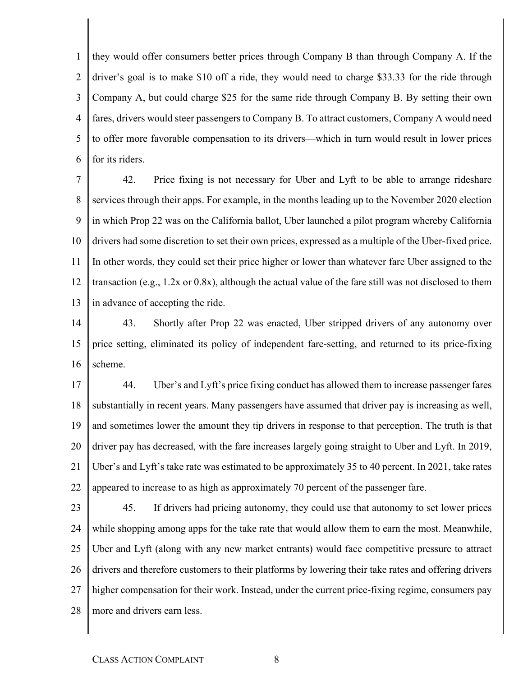1  $\mathfrak{D}$ 3 4 5 6 they would offer consumers better prices through Company B than through Company A. If the driver's goal is to make \$10 off a ride, they would need to charge \$33.33 for the ride through Company A, but could charge \$25 for the same ride through Company B. By setting their own fares, drivers would steer passengers to Company B. To attract customers, Company A would need to offer more favorable compensation to its drivers—which in turn would result in lower prices for its riders.

7 8 9 10 11 12 13 42. Price fixing is not necessary for Uber and Lyft to be able to arrange rideshare services through their apps. For example, in the months leading up to the November 2020 election in which Prop 22 was on the California ballot, Uber launched a pilot program whereby California drivers had some discretion to set their own prices, expressed as a multiple of the Uber-fixed price. In other words, they could set their price higher or lower than whatever fare Uber assigned to the transaction (e.g., 1.2x or 0.8x), although the actual value of the fare still was not disclosed to them in advance of accepting the ride.

14 15 16 43. Shortly after Prop 22 was enacted, Uber stripped drivers of any autonomy over price setting, eliminated its policy of independent fare-setting, and returned to its price-fixing scheme.

17 18 19 20 21 22 44. Uber's and Lyft's price fixing conduct has allowed them to increase passenger fares substantially in recent years. Many passengers have assumed that driver pay is increasing as well, and sometimes lower the amount they tip drivers in response to that perception. The truth is that driver pay has decreased, with the fare increases largely going straight to Uber and Lyft. In 2019, Uber's and Lyft's take rate was estimated to be approximately 35 to 40 percent. In 2021, take rates appeared to increase to as high as approximately 70 percent of the passenger fare.

23 24 25 26 27 28 45. If drivers had pricing autonomy, they could use that autonomy to set lower prices while shopping among apps for the take rate that would allow them to earn the most. Meanwhile, Uber and Lyft (along with any new market entrants) would face competitive pressure to attract drivers and therefore customers to their platforms by lowering their take rates and offering drivers higher compensation for their work. Instead, under the current price-fixing regime, consumers pay more and drivers earn less.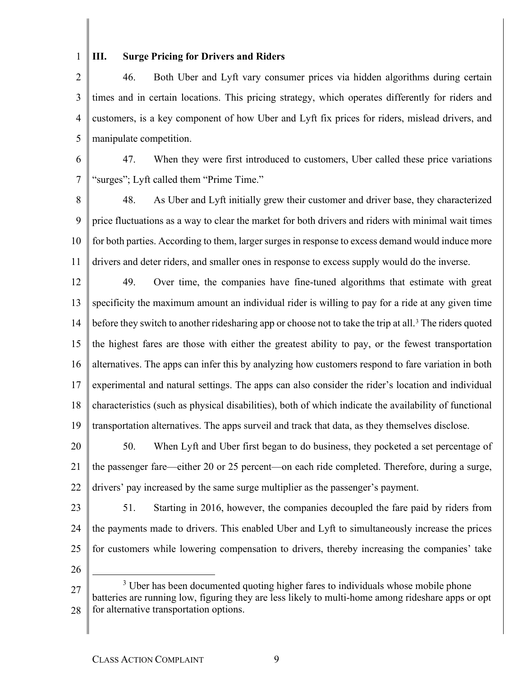## 1

#### **III. Surge Pricing for Drivers and Riders**

 $\overline{2}$ 3 4 5 46. Both Uber and Lyft vary consumer prices via hidden algorithms during certain times and in certain locations. This pricing strategy, which operates differently for riders and customers, is a key component of how Uber and Lyft fix prices for riders, mislead drivers, and manipulate competition.

6 7 47. When they were first introduced to customers, Uber called these price variations "surges"; Lyft called them "Prime Time."

8 9 10 11 48. As Uber and Lyft initially grew their customer and driver base, they characterized price fluctuations as a way to clear the market for both drivers and riders with minimal wait times for both parties. According to them, larger surges in response to excess demand would induce more drivers and deter riders, and smaller ones in response to excess supply would do the inverse.

12 13 14 15 16 17 18 19 49. Over time, the companies have fine-tuned algorithms that estimate with great specificity the maximum amount an individual rider is willing to pay for a ride at any given time before they switch to another ridesharing app or choose not to take the trip at all.<sup>[3](#page-8-0)</sup> The riders quoted the highest fares are those with either the greatest ability to pay, or the fewest transportation alternatives. The apps can infer this by analyzing how customers respond to fare variation in both experimental and natural settings. The apps can also consider the rider's location and individual characteristics (such as physical disabilities), both of which indicate the availability of functional transportation alternatives. The apps surveil and track that data, as they themselves disclose.

20 21 22 50. When Lyft and Uber first began to do business, they pocketed a set percentage of the passenger fare—either 20 or 25 percent—on each ride completed. Therefore, during a surge, drivers' pay increased by the same surge multiplier as the passenger's payment.

23 24 25 51. Starting in 2016, however, the companies decoupled the fare paid by riders from the payments made to drivers. This enabled Uber and Lyft to simultaneously increase the prices for customers while lowering compensation to drivers, thereby increasing the companies' take

- 26
- <span id="page-8-0"></span>27 28 <sup>3</sup> Uber has been documented quoting higher fares to individuals whose mobile phone batteries are running low, figuring they are less likely to multi-home among rideshare apps or opt for alternative transportation options.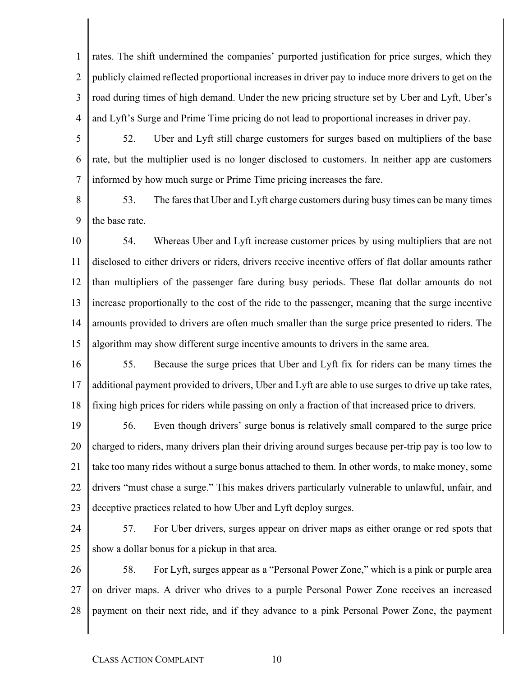1  $\mathfrak{D}$ 3 4 rates. The shift undermined the companies' purported justification for price surges, which they publicly claimed reflected proportional increases in driver pay to induce more drivers to get on the road during times of high demand. Under the new pricing structure set by Uber and Lyft, Uber's and Lyft's Surge and Prime Time pricing do not lead to proportional increases in driver pay.

- 5 6 7 52. Uber and Lyft still charge customers for surges based on multipliers of the base rate, but the multiplier used is no longer disclosed to customers. In neither app are customers informed by how much surge or Prime Time pricing increases the fare.
- 8 9 53. The fares that Uber and Lyft charge customers during busy times can be many times the base rate.
- 10 11 12 13 14 15 54. Whereas Uber and Lyft increase customer prices by using multipliers that are not disclosed to either drivers or riders, drivers receive incentive offers of flat dollar amounts rather than multipliers of the passenger fare during busy periods. These flat dollar amounts do not increase proportionally to the cost of the ride to the passenger, meaning that the surge incentive amounts provided to drivers are often much smaller than the surge price presented to riders. The algorithm may show different surge incentive amounts to drivers in the same area.
- 16 17 18 55. Because the surge prices that Uber and Lyft fix for riders can be many times the additional payment provided to drivers, Uber and Lyft are able to use surges to drive up take rates, fixing high prices for riders while passing on only a fraction of that increased price to drivers.
- 19 20 21 22 23 56. Even though drivers' surge bonus is relatively small compared to the surge price charged to riders, many drivers plan their driving around surges because per-trip pay is too low to take too many rides without a surge bonus attached to them. In other words, to make money, some drivers "must chase a surge." This makes drivers particularly vulnerable to unlawful, unfair, and deceptive practices related to how Uber and Lyft deploy surges.
- 24

25 57. For Uber drivers, surges appear on driver maps as either orange or red spots that show a dollar bonus for a pickup in that area.

26 27 28 58. For Lyft, surges appear as a "Personal Power Zone," which is a pink or purple area on driver maps. A driver who drives to a purple Personal Power Zone receives an increased payment on their next ride, and if they advance to a pink Personal Power Zone, the payment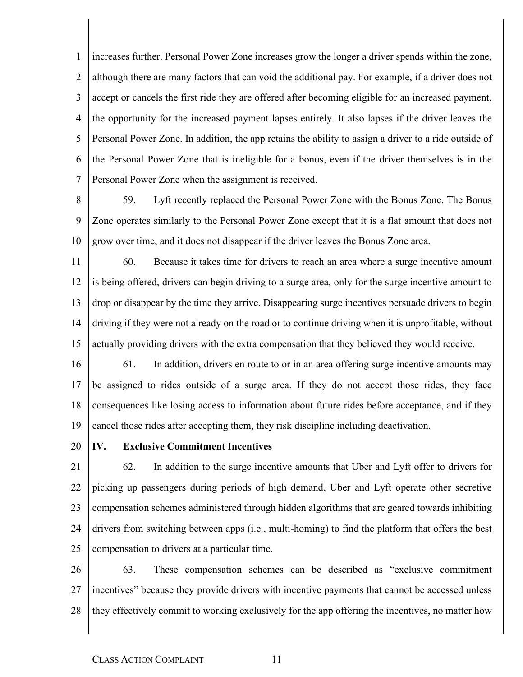1  $\mathfrak{D}$ 3 4 5 6 7 increases further. Personal Power Zone increases grow the longer a driver spends within the zone, although there are many factors that can void the additional pay. For example, if a driver does not accept or cancels the first ride they are offered after becoming eligible for an increased payment, the opportunity for the increased payment lapses entirely. It also lapses if the driver leaves the Personal Power Zone. In addition, the app retains the ability to assign a driver to a ride outside of the Personal Power Zone that is ineligible for a bonus, even if the driver themselves is in the Personal Power Zone when the assignment is received.

8

9 10 59. Lyft recently replaced the Personal Power Zone with the Bonus Zone. The Bonus Zone operates similarly to the Personal Power Zone except that it is a flat amount that does not grow over time, and it does not disappear if the driver leaves the Bonus Zone area.

11 12 13 14 15 60. Because it takes time for drivers to reach an area where a surge incentive amount is being offered, drivers can begin driving to a surge area, only for the surge incentive amount to drop or disappear by the time they arrive. Disappearing surge incentives persuade drivers to begin driving if they were not already on the road or to continue driving when it is unprofitable, without actually providing drivers with the extra compensation that they believed they would receive.

16 17 18 19 61. In addition, drivers en route to or in an area offering surge incentive amounts may be assigned to rides outside of a surge area. If they do not accept those rides, they face consequences like losing access to information about future rides before acceptance, and if they cancel those rides after accepting them, they risk discipline including deactivation.

20

#### **IV. Exclusive Commitment Incentives**

21 22 23 24 25 62. In addition to the surge incentive amounts that Uber and Lyft offer to drivers for picking up passengers during periods of high demand, Uber and Lyft operate other secretive compensation schemes administered through hidden algorithms that are geared towards inhibiting drivers from switching between apps (i.e., multi-homing) to find the platform that offers the best compensation to drivers at a particular time.

26 27 28 63. These compensation schemes can be described as "exclusive commitment incentives" because they provide drivers with incentive payments that cannot be accessed unless they effectively commit to working exclusively for the app offering the incentives, no matter how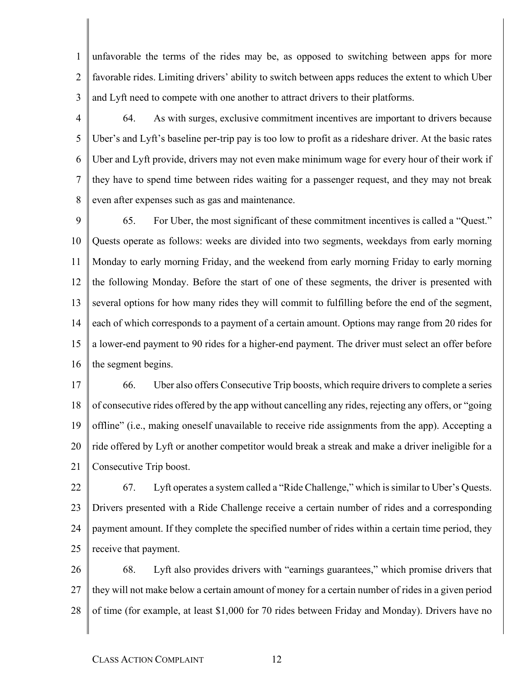1  $\mathfrak{D}$ 3 unfavorable the terms of the rides may be, as opposed to switching between apps for more favorable rides. Limiting drivers' ability to switch between apps reduces the extent to which Uber and Lyft need to compete with one another to attract drivers to their platforms.

4

5 6 7 8 64. As with surges, exclusive commitment incentives are important to drivers because Uber's and Lyft's baseline per-trip pay is too low to profit as a rideshare driver. At the basic rates Uber and Lyft provide, drivers may not even make minimum wage for every hour of their work if they have to spend time between rides waiting for a passenger request, and they may not break even after expenses such as gas and maintenance.

9 10 11 12 13 14 15 16 65. For Uber, the most significant of these commitment incentives is called a "Quest." Quests operate as follows: weeks are divided into two segments, weekdays from early morning Monday to early morning Friday, and the weekend from early morning Friday to early morning the following Monday. Before the start of one of these segments, the driver is presented with several options for how many rides they will commit to fulfilling before the end of the segment, each of which corresponds to a payment of a certain amount. Options may range from 20 rides for a lower-end payment to 90 rides for a higher-end payment. The driver must select an offer before the segment begins.

17 18 19 20 21 66. Uber also offers Consecutive Trip boosts, which require drivers to complete a series of consecutive rides offered by the app without cancelling any rides, rejecting any offers, or "going offline" (i.e., making oneself unavailable to receive ride assignments from the app). Accepting a ride offered by Lyft or another competitor would break a streak and make a driver ineligible for a Consecutive Trip boost.

22 23 24 25 67. Lyft operates a system called a "Ride Challenge," which is similar to Uber's Quests. Drivers presented with a Ride Challenge receive a certain number of rides and a corresponding payment amount. If they complete the specified number of rides within a certain time period, they receive that payment.

26 27 28 68. Lyft also provides drivers with "earnings guarantees," which promise drivers that they will not make below a certain amount of money for a certain number of rides in a given period of time (for example, at least \$1,000 for 70 rides between Friday and Monday). Drivers have no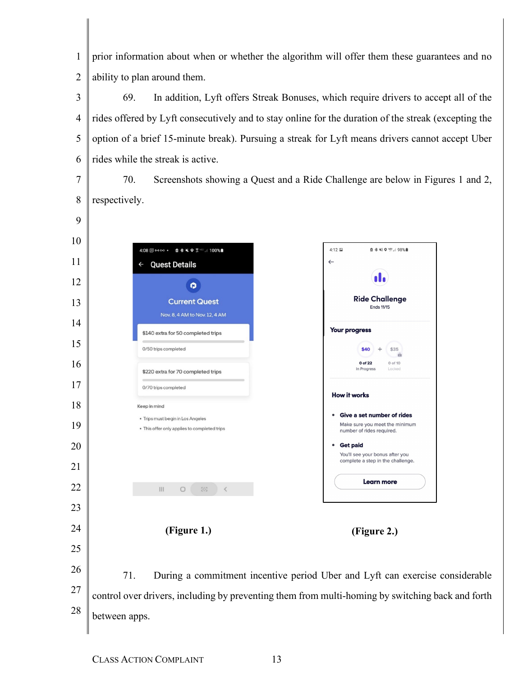$\mathfrak{D}$ prior information about when or whether the algorithm will offer them these guarantees and no ability to plan around them.

 69. In addition, Lyft offers Streak Bonuses, which require drivers to accept all of the rides offered by Lyft consecutively and to stay online for the duration of the streak (excepting the option of a brief 15-minute break). Pursuing a streak for Lyft means drivers cannot accept Uber rides while the streak is active.

70. Screenshots showing a Quest and a Ride Challenge are below in Figures 1 and 2, respectively.

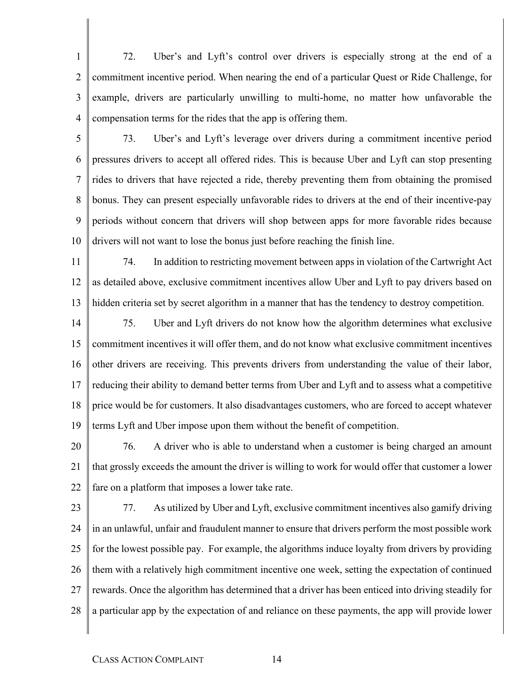1  $\mathcal{D}_{\mathcal{L}}$ 3 4 72. Uber's and Lyft's control over drivers is especially strong at the end of a commitment incentive period. When nearing the end of a particular Quest or Ride Challenge, for example, drivers are particularly unwilling to multi-home, no matter how unfavorable the compensation terms for the rides that the app is offering them.

5

6 7 8 9 10 73. Uber's and Lyft's leverage over drivers during a commitment incentive period pressures drivers to accept all offered rides. This is because Uber and Lyft can stop presenting rides to drivers that have rejected a ride, thereby preventing them from obtaining the promised bonus. They can present especially unfavorable rides to drivers at the end of their incentive-pay periods without concern that drivers will shop between apps for more favorable rides because drivers will not want to lose the bonus just before reaching the finish line.

- 11 12 13 74. In addition to restricting movement between apps in violation of the Cartwright Act as detailed above, exclusive commitment incentives allow Uber and Lyft to pay drivers based on hidden criteria set by secret algorithm in a manner that has the tendency to destroy competition.
- 14 15 16 17 18 19 75. Uber and Lyft drivers do not know how the algorithm determines what exclusive commitment incentives it will offer them, and do not know what exclusive commitment incentives other drivers are receiving. This prevents drivers from understanding the value of their labor, reducing their ability to demand better terms from Uber and Lyft and to assess what a competitive price would be for customers. It also disadvantages customers, who are forced to accept whatever terms Lyft and Uber impose upon them without the benefit of competition.

20 21 22 76. A driver who is able to understand when a customer is being charged an amount that grossly exceeds the amount the driver is willing to work for would offer that customer a lower fare on a platform that imposes a lower take rate.

23 24 25 26 27 28 77. As utilized by Uber and Lyft, exclusive commitment incentives also gamify driving in an unlawful, unfair and fraudulent manner to ensure that drivers perform the most possible work for the lowest possible pay. For example, the algorithms induce loyalty from drivers by providing them with a relatively high commitment incentive one week, setting the expectation of continued rewards. Once the algorithm has determined that a driver has been enticed into driving steadily for a particular app by the expectation of and reliance on these payments, the app will provide lower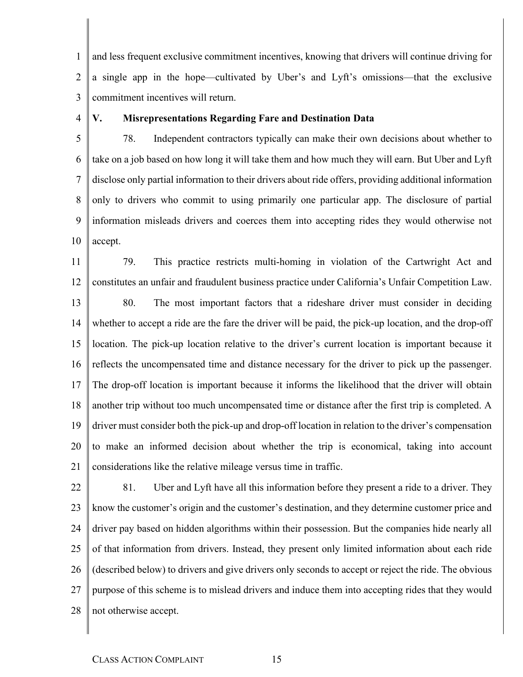1  $\mathfrak{D}$ 3 and less frequent exclusive commitment incentives, knowing that drivers will continue driving for a single app in the hope—cultivated by Uber's and Lyft's omissions—that the exclusive commitment incentives will return.

4

#### **V. Misrepresentations Regarding Fare and Destination Data**

5 6 7 8 9 10 78. Independent contractors typically can make their own decisions about whether to take on a job based on how long it will take them and how much they will earn. But Uber and Lyft disclose only partial information to their drivers about ride offers, providing additional information only to drivers who commit to using primarily one particular app. The disclosure of partial information misleads drivers and coerces them into accepting rides they would otherwise not accept.

11 12 79. This practice restricts multi-homing in violation of the Cartwright Act and constitutes an unfair and fraudulent business practice under California's Unfair Competition Law.

13 14 15 16 17 18 19 20 21 80. The most important factors that a rideshare driver must consider in deciding whether to accept a ride are the fare the driver will be paid, the pick-up location, and the drop-off location. The pick-up location relative to the driver's current location is important because it reflects the uncompensated time and distance necessary for the driver to pick up the passenger. The drop-off location is important because it informs the likelihood that the driver will obtain another trip without too much uncompensated time or distance after the first trip is completed. A driver must consider both the pick-up and drop-off location in relation to the driver's compensation to make an informed decision about whether the trip is economical, taking into account considerations like the relative mileage versus time in traffic.

22 23 24 25 26 27 28 81. Uber and Lyft have all this information before they present a ride to a driver. They know the customer's origin and the customer's destination, and they determine customer price and driver pay based on hidden algorithms within their possession. But the companies hide nearly all of that information from drivers. Instead, they present only limited information about each ride (described below) to drivers and give drivers only seconds to accept or reject the ride. The obvious purpose of this scheme is to mislead drivers and induce them into accepting rides that they would not otherwise accept.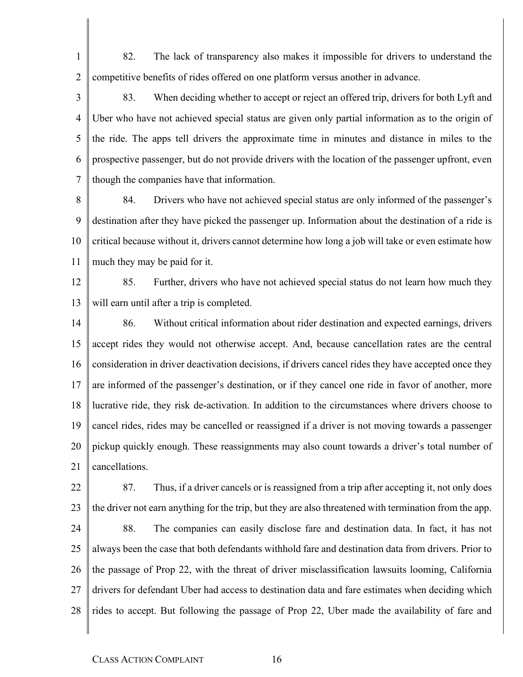82. The lack of transparency also makes it impossible for drivers to understand the competitive benefits of rides offered on one platform versus another in advance.

3 4 5 6 7 83. When deciding whether to accept or reject an offered trip, drivers for both Lyft and Uber who have not achieved special status are given only partial information as to the origin of the ride. The apps tell drivers the approximate time in minutes and distance in miles to the prospective passenger, but do not provide drivers with the location of the passenger upfront, even though the companies have that information.

- 8 9 10 11 84. Drivers who have not achieved special status are only informed of the passenger's destination after they have picked the passenger up. Information about the destination of a ride is critical because without it, drivers cannot determine how long a job will take or even estimate how much they may be paid for it.
- 12 13 85. Further, drivers who have not achieved special status do not learn how much they will earn until after a trip is completed.
- 14 15 16 17 18 19 20 21 86. Without critical information about rider destination and expected earnings, drivers accept rides they would not otherwise accept. And, because cancellation rates are the central consideration in driver deactivation decisions, if drivers cancel rides they have accepted once they are informed of the passenger's destination, or if they cancel one ride in favor of another, more lucrative ride, they risk de-activation. In addition to the circumstances where drivers choose to cancel rides, rides may be cancelled or reassigned if a driver is not moving towards a passenger pickup quickly enough. These reassignments may also count towards a driver's total number of cancellations.
- 22 23 24 25 26 27 28 87. Thus, if a driver cancels or is reassigned from a trip after accepting it, not only does the driver not earn anything for the trip, but they are also threatened with termination from the app. 88. The companies can easily disclose fare and destination data. In fact, it has not always been the case that both defendants withhold fare and destination data from drivers. Prior to the passage of Prop 22, with the threat of driver misclassification lawsuits looming, California drivers for defendant Uber had access to destination data and fare estimates when deciding which rides to accept. But following the passage of Prop 22, Uber made the availability of fare and

1

 $\overline{2}$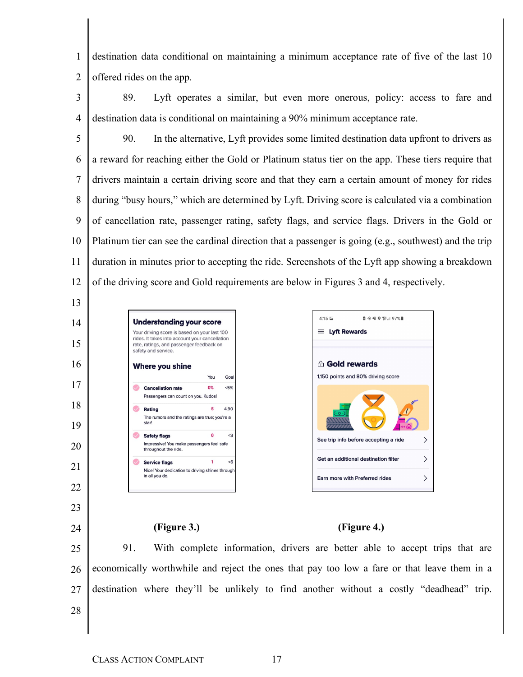1  $\mathfrak{D}$ destination data conditional on maintaining a minimum acceptance rate of five of the last 10 offered rides on the app.

3 4 89. Lyft operates a similar, but even more onerous, policy: access to fare and destination data is conditional on maintaining a 90% minimum acceptance rate.

5 6 7 8 9 10 11 12 90. In the alternative, Lyft provides some limited destination data upfront to drivers as a reward for reaching either the Gold or Platinum status tier on the app. These tiers require that drivers maintain a certain driving score and that they earn a certain amount of money for rides during "busy hours," which are determined by Lyft. Driving score is calculated via a combination of cancellation rate, passenger rating, safety flags, and service flags. Drivers in the Gold or Platinum tier can see the cardinal direction that a passenger is going (e.g., southwest) and the trip duration in minutes prior to accepting the ride. Screenshots of the Lyft app showing a breakdown of the driving score and Gold requirements are below in Figures 3 and 4, respectively.

 $4:15$ 

 $\equiv$  Lyft Rewards



23

24

# <sup>A</sup> Gold rewards 1,150 points and 80% driving score See trip info before accepting a ride  $\mathcal{P}$ Get an additional destination filter  $\left\langle \right\rangle$ Earn more with Preferred rides  $\overline{\phantom{0}}$

### **(Figure 3.) (Figure 4.)**

25 26 27 28 91. With complete information, drivers are better able to accept trips that are economically worthwhile and reject the ones that pay too low a fare or that leave them in a destination where they'll be unlikely to find another without a costly "deadhead" trip.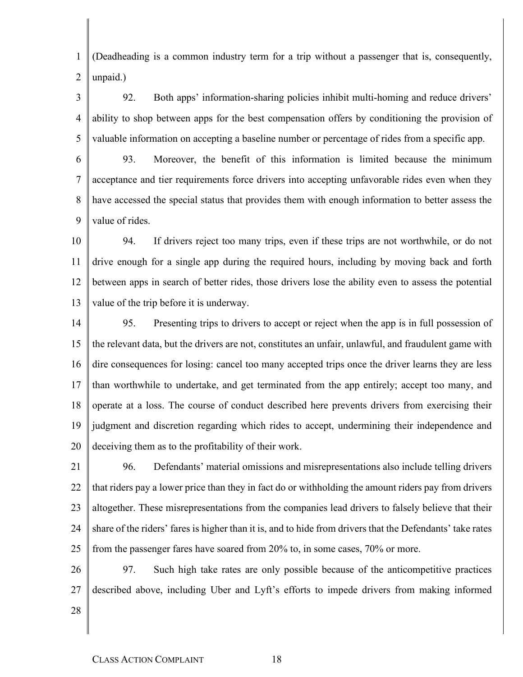1  $\mathcal{D}_{\mathcal{L}}$ (Deadheading is a common industry term for a trip without a passenger that is, consequently, unpaid.)

3 4 5 92. Both apps' information-sharing policies inhibit multi-homing and reduce drivers' ability to shop between apps for the best compensation offers by conditioning the provision of valuable information on accepting a baseline number or percentage of rides from a specific app.

6 7 8 9 93. Moreover, the benefit of this information is limited because the minimum acceptance and tier requirements force drivers into accepting unfavorable rides even when they have accessed the special status that provides them with enough information to better assess the value of rides.

10 11 12 13 94. If drivers reject too many trips, even if these trips are not worthwhile, or do not drive enough for a single app during the required hours, including by moving back and forth between apps in search of better rides, those drivers lose the ability even to assess the potential value of the trip before it is underway.

14 15 16 17 18 19 20 95. Presenting trips to drivers to accept or reject when the app is in full possession of the relevant data, but the drivers are not, constitutes an unfair, unlawful, and fraudulent game with dire consequences for losing: cancel too many accepted trips once the driver learns they are less than worthwhile to undertake, and get terminated from the app entirely; accept too many, and operate at a loss. The course of conduct described here prevents drivers from exercising their judgment and discretion regarding which rides to accept, undermining their independence and deceiving them as to the profitability of their work.

21 22 23 24 25 96. Defendants' material omissions and misrepresentations also include telling drivers that riders pay a lower price than they in fact do or withholding the amount riders pay from drivers altogether. These misrepresentations from the companies lead drivers to falsely believe that their share of the riders' fares is higher than it is, and to hide from drivers that the Defendants' take rates from the passenger fares have soared from 20% to, in some cases, 70% or more.

26 27 97. Such high take rates are only possible because of the anticompetitive practices described above, including Uber and Lyft's efforts to impede drivers from making informed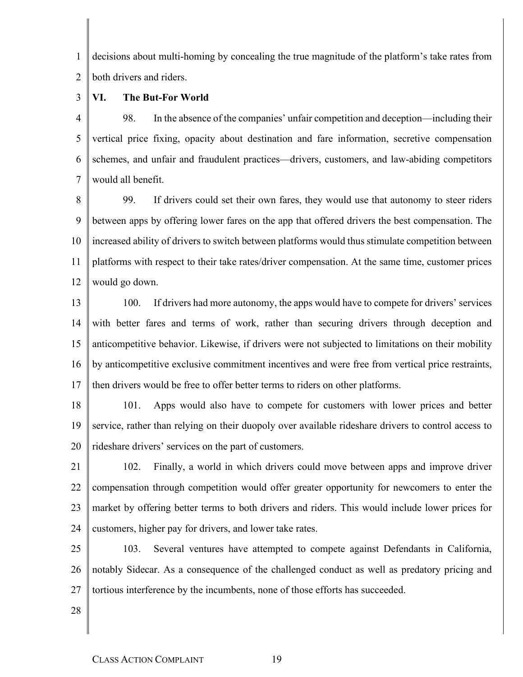1  $\mathfrak{D}$ decisions about multi-homing by concealing the true magnitude of the platform's take rates from both drivers and riders.

3 **VI. The But-For World**

4 5 6 7 98. In the absence of the companies' unfair competition and deception—including their vertical price fixing, opacity about destination and fare information, secretive compensation schemes, and unfair and fraudulent practices—drivers, customers, and law-abiding competitors would all benefit.

8 9 10 11 12 99. If drivers could set their own fares, they would use that autonomy to steer riders between apps by offering lower fares on the app that offered drivers the best compensation. The increased ability of drivers to switch between platforms would thus stimulate competition between platforms with respect to their take rates/driver compensation. At the same time, customer prices would go down.

13 14 15 16 17 100. If drivers had more autonomy, the apps would have to compete for drivers' services with better fares and terms of work, rather than securing drivers through deception and anticompetitive behavior. Likewise, if drivers were not subjected to limitations on their mobility by anticompetitive exclusive commitment incentives and were free from vertical price restraints, then drivers would be free to offer better terms to riders on other platforms.

18 19 20 101. Apps would also have to compete for customers with lower prices and better service, rather than relying on their duopoly over available rideshare drivers to control access to rideshare drivers' services on the part of customers.

21 22 23 24 102. Finally, a world in which drivers could move between apps and improve driver compensation through competition would offer greater opportunity for newcomers to enter the market by offering better terms to both drivers and riders. This would include lower prices for customers, higher pay for drivers, and lower take rates.

25 26 27 103. Several ventures have attempted to compete against Defendants in California, notably Sidecar. As a consequence of the challenged conduct as well as predatory pricing and tortious interference by the incumbents, none of those efforts has succeeded.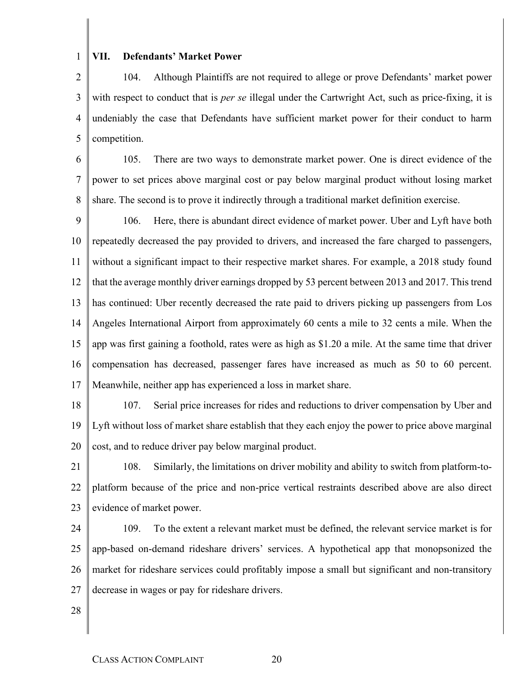#### **VII. Defendants' Market Power**

 $\overline{2}$ 3 4 5 104. Although Plaintiffs are not required to allege or prove Defendants' market power with respect to conduct that is *per se* illegal under the Cartwright Act, such as price-fixing, it is undeniably the case that Defendants have sufficient market power for their conduct to harm competition.

6 7 8 105. There are two ways to demonstrate market power. One is direct evidence of the power to set prices above marginal cost or pay below marginal product without losing market share. The second is to prove it indirectly through a traditional market definition exercise.

9 10 11 12 13 14 15 16 17 106. Here, there is abundant direct evidence of market power. Uber and Lyft have both repeatedly decreased the pay provided to drivers, and increased the fare charged to passengers, without a significant impact to their respective market shares. For example, a 2018 study found that the average monthly driver earnings dropped by 53 percent between 2013 and 2017. This trend has continued: Uber recently decreased the rate paid to drivers picking up passengers from Los Angeles International Airport from approximately 60 cents a mile to 32 cents a mile. When the app was first gaining a foothold, rates were as high as \$1.20 a mile. At the same time that driver compensation has decreased, passenger fares have increased as much as 50 to 60 percent. Meanwhile, neither app has experienced a loss in market share.

1

18 19 20 107. Serial price increases for rides and reductions to driver compensation by Uber and Lyft without loss of market share establish that they each enjoy the power to price above marginal cost, and to reduce driver pay below marginal product.

- 21 22 23 108. Similarly, the limitations on driver mobility and ability to switch from platform-toplatform because of the price and non-price vertical restraints described above are also direct evidence of market power.
- 24 25 26 27 109. To the extent a relevant market must be defined, the relevant service market is for app-based on-demand rideshare drivers' services. A hypothetical app that monopsonized the market for rideshare services could profitably impose a small but significant and non-transitory decrease in wages or pay for rideshare drivers.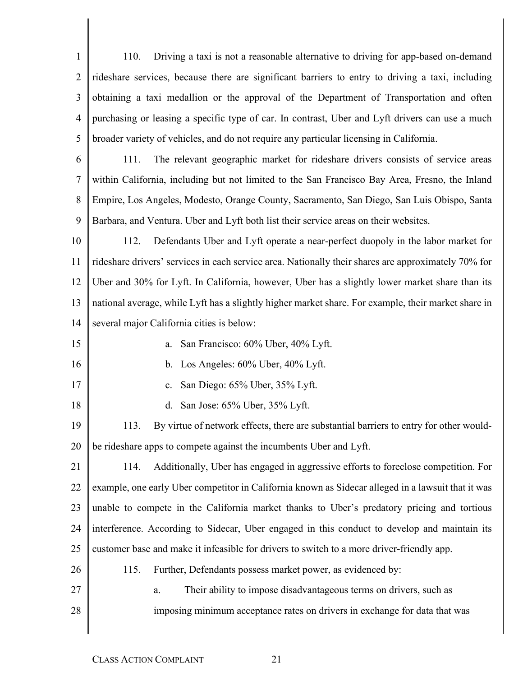1  $\mathcal{D}_{\mathcal{L}}$ 3 4 5 6 110. Driving a taxi is not a reasonable alternative to driving for app-based on-demand rideshare services, because there are significant barriers to entry to driving a taxi, including obtaining a taxi medallion or the approval of the Department of Transportation and often purchasing or leasing a specific type of car. In contrast, Uber and Lyft drivers can use a much broader variety of vehicles, and do not require any particular licensing in California. 111. The relevant geographic market for rideshare drivers consists of service areas

7 8 9 within California, including but not limited to the San Francisco Bay Area, Fresno, the Inland Empire, Los Angeles, Modesto, Orange County, Sacramento, San Diego, San Luis Obispo, Santa Barbara, and Ventura. Uber and Lyft both list their service areas on their websites.

10 11 12 13 14 112. Defendants Uber and Lyft operate a near-perfect duopoly in the labor market for rideshare drivers' services in each service area. Nationally their shares are approximately 70% for Uber and 30% for Lyft. In California, however, Uber has a slightly lower market share than its national average, while Lyft has a slightly higher market share. For example, their market share in several major California cities is below:

15

16

17

18

28

- a. San Francisco: 60% Uber, 40% Lyft.
- b. Los Angeles: 60% Uber, 40% Lyft.
- c. San Diego: 65% Uber, 35% Lyft.
- d. San Jose: 65% Uber, 35% Lyft.

19 20 113. By virtue of network effects, there are substantial barriers to entry for other wouldbe rideshare apps to compete against the incumbents Uber and Lyft.

21 22 23 24 25 26 114. Additionally, Uber has engaged in aggressive efforts to foreclose competition. For example, one early Uber competitor in California known as Sidecar alleged in a lawsuit that it was unable to compete in the California market thanks to Uber's predatory pricing and tortious interference. According to Sidecar, Uber engaged in this conduct to develop and maintain its customer base and make it infeasible for drivers to switch to a more driver-friendly app. 115. Further, Defendants possess market power, as evidenced by:

- 27 a. Their ability to impose disadvantageous terms on drivers, such as
	- imposing minimum acceptance rates on drivers in exchange for data that was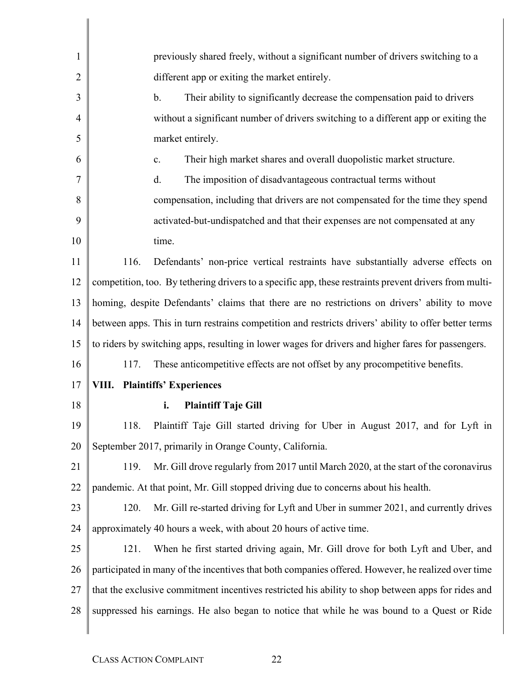| 1  | previously shared freely, without a significant number of drivers switching to a                       |
|----|--------------------------------------------------------------------------------------------------------|
| 2  | different app or exiting the market entirely.                                                          |
| 3  | $\mathbf b$ .<br>Their ability to significantly decrease the compensation paid to drivers              |
| 4  | without a significant number of drivers switching to a different app or exiting the                    |
| 5  | market entirely.                                                                                       |
| 6  | Their high market shares and overall duopolistic market structure.<br>$\mathbf{c}$ .                   |
| 7  | The imposition of disadvantageous contractual terms without<br>d.                                      |
| 8  | compensation, including that drivers are not compensated for the time they spend                       |
| 9  | activated-but-undispatched and that their expenses are not compensated at any                          |
| 10 | time.                                                                                                  |
| 11 | Defendants' non-price vertical restraints have substantially adverse effects on<br>116.                |
| 12 | competition, too. By tethering drivers to a specific app, these restraints prevent drivers from multi- |
| 13 | homing, despite Defendants' claims that there are no restrictions on drivers' ability to move          |
| 14 | between apps. This in turn restrains competition and restricts drivers' ability to offer better terms  |
| 15 | to riders by switching apps, resulting in lower wages for drivers and higher fares for passengers.     |
| 16 | These anticompetitive effects are not offset by any procompetitive benefits.<br>117.                   |
| 17 | <b>VIII.</b> Plaintiffs' Experiences                                                                   |
| 18 | <b>Plaintiff Taje Gill</b><br>i.                                                                       |
| 19 | Plaintiff Taje Gill started driving for Uber in August 2017, and for Lyft in<br>118.                   |
| 20 | September 2017, primarily in Orange County, California.                                                |
| 21 | Mr. Gill drove regularly from 2017 until March 2020, at the start of the coronavirus<br>119.           |
| 22 | pandemic. At that point, Mr. Gill stopped driving due to concerns about his health.                    |
| 23 | Mr. Gill re-started driving for Lyft and Uber in summer 2021, and currently drives<br>120.             |
| 24 | approximately 40 hours a week, with about 20 hours of active time.                                     |
| 25 | When he first started driving again, Mr. Gill drove for both Lyft and Uber, and<br>121.                |
| 26 | participated in many of the incentives that both companies offered. However, he realized over time     |
| 27 | that the exclusive commitment incentives restricted his ability to shop between apps for rides and     |
| 28 | suppressed his earnings. He also began to notice that while he was bound to a Quest or Ride            |
|    |                                                                                                        |

 $\begin{array}{c} \begin{array}{c} \begin{array}{c} \begin{array}{c} \end{array}\\ \end{array} \end{array} \end{array} \end{array}$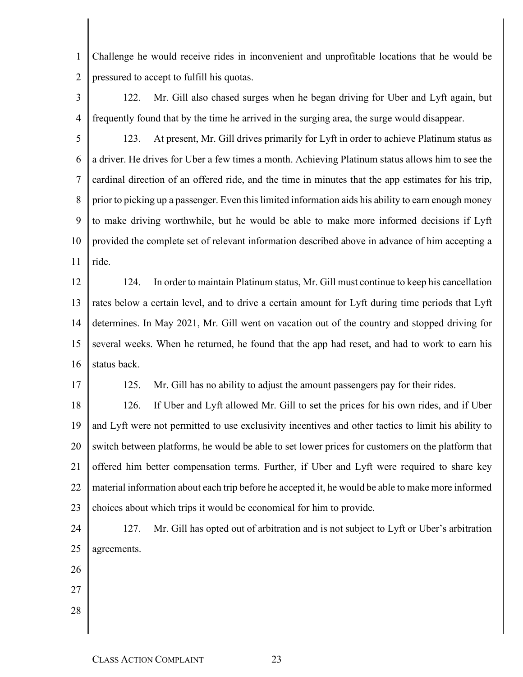1 2 Challenge he would receive rides in inconvenient and unprofitable locations that he would be pressured to accept to fulfill his quotas.

3 4 122. Mr. Gill also chased surges when he began driving for Uber and Lyft again, but frequently found that by the time he arrived in the surging area, the surge would disappear.

5 6 7 8 9 10 11 123. At present, Mr. Gill drives primarily for Lyft in order to achieve Platinum status as a driver. He drives for Uber a few times a month. Achieving Platinum status allows him to see the cardinal direction of an offered ride, and the time in minutes that the app estimates for his trip, prior to picking up a passenger. Even this limited information aids his ability to earn enough money to make driving worthwhile, but he would be able to make more informed decisions if Lyft provided the complete set of relevant information described above in advance of him accepting a ride.

12 13 14 15 16 124. In order to maintain Platinum status, Mr. Gill must continue to keep his cancellation rates below a certain level, and to drive a certain amount for Lyft during time periods that Lyft determines. In May 2021, Mr. Gill went on vacation out of the country and stopped driving for several weeks. When he returned, he found that the app had reset, and had to work to earn his status back.

17

125. Mr. Gill has no ability to adjust the amount passengers pay for their rides.

18 19 20 21 22 23 126. If Uber and Lyft allowed Mr. Gill to set the prices for his own rides, and if Uber and Lyft were not permitted to use exclusivity incentives and other tactics to limit his ability to switch between platforms, he would be able to set lower prices for customers on the platform that offered him better compensation terms. Further, if Uber and Lyft were required to share key material information about each trip before he accepted it, he would be able to make more informed choices about which trips it would be economical for him to provide.

- 24 25 127. Mr. Gill has opted out of arbitration and is not subject to Lyft or Uber's arbitration agreements.
- 26
- 27 28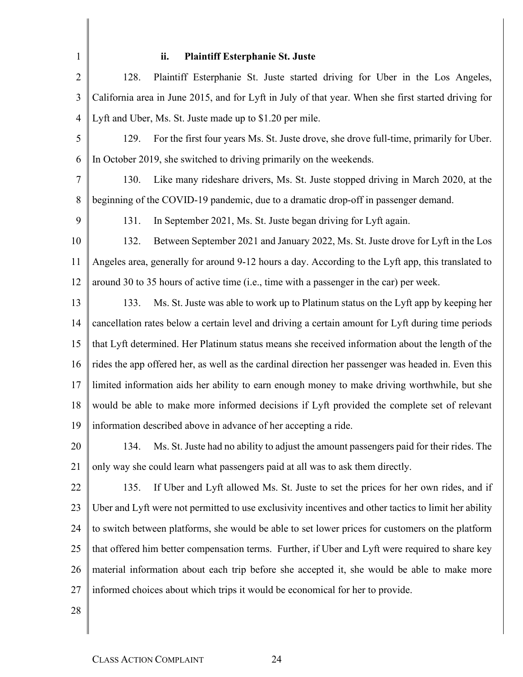# **ii. Plaintiff Esterphanie St. Juste**

| $\overline{2}$ | 128.<br>Plaintiff Esterphanie St. Juste started driving for Uber in the Los Angeles,                  |
|----------------|-------------------------------------------------------------------------------------------------------|
| 3              | California area in June 2015, and for Lyft in July of that year. When she first started driving for   |
| $\overline{4}$ | Lyft and Uber, Ms. St. Juste made up to \$1.20 per mile.                                              |
| 5              | For the first four years Ms. St. Juste drove, she drove full-time, primarily for Uber.<br>129.        |
| 6              | In October 2019, she switched to driving primarily on the weekends.                                   |
| 7              | 130.<br>Like many rideshare drivers, Ms. St. Juste stopped driving in March 2020, at the              |
| 8              | beginning of the COVID-19 pandemic, due to a dramatic drop-off in passenger demand.                   |
| 9              | 131.<br>In September 2021, Ms. St. Juste began driving for Lyft again.                                |
| 10             | 132.<br>Between September 2021 and January 2022, Ms. St. Juste drove for Lyft in the Los              |
| 11             | Angeles area, generally for around 9-12 hours a day. According to the Lyft app, this translated to    |
| 12             | around 30 to 35 hours of active time (i.e., time with a passenger in the car) per week.               |
| 13             | 133.<br>Ms. St. Juste was able to work up to Platinum status on the Lyft app by keeping her           |
| 14             | cancellation rates below a certain level and driving a certain amount for Lyft during time periods    |
| 15             | that Lyft determined. Her Platinum status means she received information about the length of the      |
| 16             | rides the app offered her, as well as the cardinal direction her passenger was headed in. Even this   |
| 17             | limited information aids her ability to earn enough money to make driving worthwhile, but she         |
| 18             | would be able to make more informed decisions if Lyft provided the complete set of relevant           |
| 19             | information described above in advance of her accepting a ride.                                       |
| 20             | 134. Ms. St. Juste had no ability to adjust the amount passengers paid for their rides. The           |
| 21             | only way she could learn what passengers paid at all was to ask them directly.                        |
| 22             | If Uber and Lyft allowed Ms. St. Juste to set the prices for her own rides, and if<br>135.            |
| 23             | Uber and Lyft were not permitted to use exclusivity incentives and other tactics to limit her ability |
| 24             | to switch between platforms, she would be able to set lower prices for customers on the platform      |
| 25             | that offered him better compensation terms. Further, if Uber and Lyft were required to share key      |
| 26             | material information about each trip before she accepted it, she would be able to make more           |
| 27             | informed choices about which trips it would be economical for her to provide.                         |
| 28             |                                                                                                       |
|                |                                                                                                       |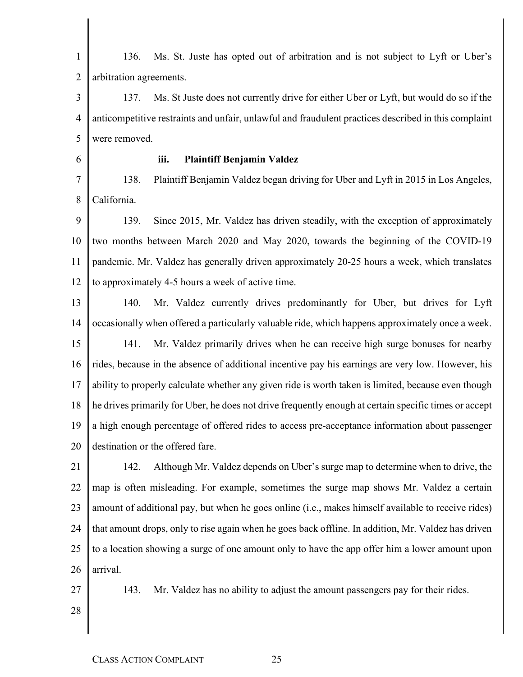| $\mathbf{1}$   | Ms. St. Juste has opted out of arbitration and is not subject to Lyft or Uber's<br>136.               |
|----------------|-------------------------------------------------------------------------------------------------------|
| $\overline{2}$ | arbitration agreements.                                                                               |
| 3              | Ms. St Juste does not currently drive for either Uber or Lyft, but would do so if the<br>137.         |
| $\overline{4}$ | anticompetitive restraints and unfair, unlawful and fraudulent practices described in this complaint  |
| 5              | were removed.                                                                                         |
| 6              | <b>Plaintiff Benjamin Valdez</b><br>iii.                                                              |
| $\overline{7}$ | Plaintiff Benjamin Valdez began driving for Uber and Lyft in 2015 in Los Angeles,<br>138.             |
| $\,8\,$        | California.                                                                                           |
| 9              | Since 2015, Mr. Valdez has driven steadily, with the exception of approximately<br>139.               |
| 10             | two months between March 2020 and May 2020, towards the beginning of the COVID-19                     |
| 11             | pandemic. Mr. Valdez has generally driven approximately 20-25 hours a week, which translates          |
| 12             | to approximately 4-5 hours a week of active time.                                                     |
| 13             | Mr. Valdez currently drives predominantly for Uber, but drives for Lyft<br>140.                       |
| 14             | occasionally when offered a particularly valuable ride, which happens approximately once a week.      |
| 15             | Mr. Valdez primarily drives when he can receive high surge bonuses for nearby<br>141.                 |
| 16             | rides, because in the absence of additional incentive pay his earnings are very low. However, his     |
| 17             | ability to properly calculate whether any given ride is worth taken is limited, because even though   |
| 18             | he drives primarily for Uber, he does not drive frequently enough at certain specific times or accept |
| 19             | a high enough percentage of offered rides to access pre-acceptance information about passenger        |
| 20             | destination or the offered fare.                                                                      |
| 21             | 142.<br>Although Mr. Valdez depends on Uber's surge map to determine when to drive, the               |
| 22             | map is often misleading. For example, sometimes the surge map shows Mr. Valdez a certain              |
| 23             | amount of additional pay, but when he goes online (i.e., makes himself available to receive rides)    |
| 24             | that amount drops, only to rise again when he goes back offline. In addition, Mr. Valdez has driven   |
| 25             | to a location showing a surge of one amount only to have the app offer him a lower amount upon        |
| 26             | arrival.                                                                                              |
| 27             | Mr. Valdez has no ability to adjust the amount passengers pay for their rides.<br>143.                |
| 28             |                                                                                                       |
|                |                                                                                                       |
|                |                                                                                                       |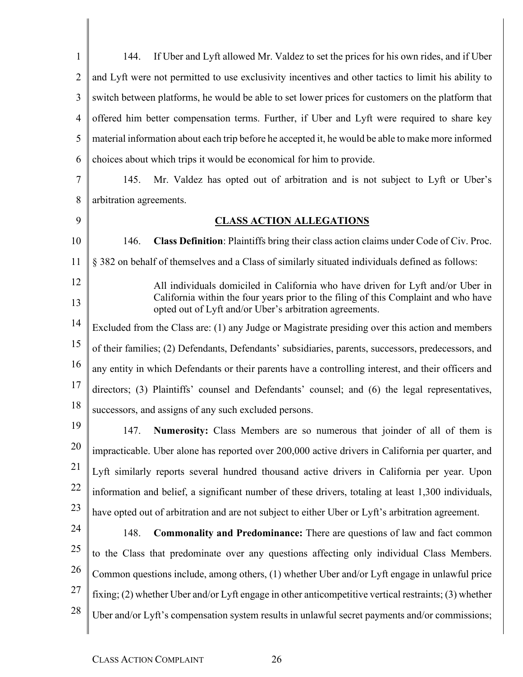1  $\overline{2}$ 3 4 5 6 7 8 9 10 11 12 13 14 15 16 17 18 19 20 21 22 23 24 25 26 27 28 144. If Uber and Lyft allowed Mr. Valdez to set the prices for his own rides, and if Uber and Lyft were not permitted to use exclusivity incentives and other tactics to limit his ability to switch between platforms, he would be able to set lower prices for customers on the platform that offered him better compensation terms. Further, if Uber and Lyft were required to share key material information about each trip before he accepted it, he would be able to make more informed choices about which trips it would be economical for him to provide. 145. Mr. Valdez has opted out of arbitration and is not subject to Lyft or Uber's arbitration agreements. **CLASS ACTION ALLEGATIONS** 146. **Class Definition**: Plaintiffs bring their class action claims under Code of Civ. Proc. § 382 on behalf of themselves and a Class of similarly situated individuals defined as follows: All individuals domiciled in California who have driven for Lyft and/or Uber in California within the four years prior to the filing of this Complaint and who have opted out of Lyft and/or Uber's arbitration agreements. Excluded from the Class are: (1) any Judge or Magistrate presiding over this action and members of their families; (2) Defendants, Defendants' subsidiaries, parents, successors, predecessors, and any entity in which Defendants or their parents have a controlling interest, and their officers and directors; (3) Plaintiffs' counsel and Defendants' counsel; and (6) the legal representatives, successors, and assigns of any such excluded persons. 147. **Numerosity:** Class Members are so numerous that joinder of all of them is impracticable. Uber alone has reported over 200,000 active drivers in California per quarter, and Lyft similarly reports several hundred thousand active drivers in California per year. Upon information and belief, a significant number of these drivers, totaling at least 1,300 individuals, have opted out of arbitration and are not subject to either Uber or Lyft's arbitration agreement. 148. **Commonality and Predominance:** There are questions of law and fact common to the Class that predominate over any questions affecting only individual Class Members. Common questions include, among others, (1) whether Uber and/or Lyft engage in unlawful price fixing; (2) whether Uber and/or Lyft engage in other anticompetitive vertical restraints; (3) whether Uber and/or Lyft's compensation system results in unlawful secret payments and/or commissions;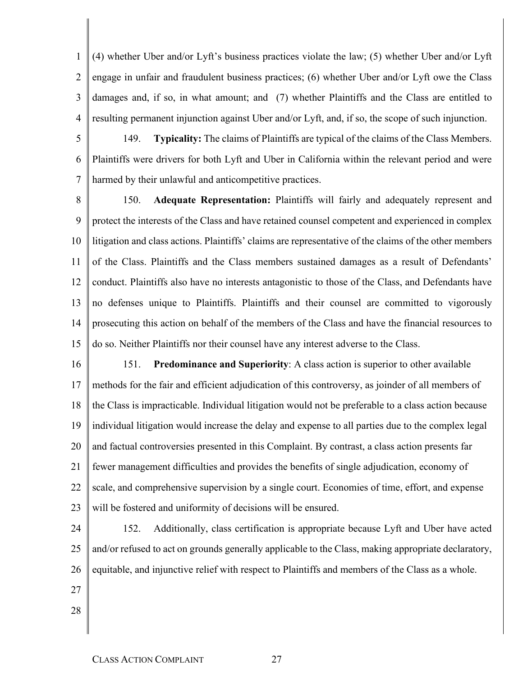1  $\mathcal{D}_{\mathcal{L}}$ 3 4 (4) whether Uber and/or Lyft's business practices violate the law; (5) whether Uber and/or Lyft engage in unfair and fraudulent business practices; (6) whether Uber and/or Lyft owe the Class damages and, if so, in what amount; and (7) whether Plaintiffs and the Class are entitled to resulting permanent injunction against Uber and/or Lyft, and, if so, the scope of such injunction.

5 6 7 149. **Typicality:** The claims of Plaintiffs are typical of the claims of the Class Members. Plaintiffs were drivers for both Lyft and Uber in California within the relevant period and were harmed by their unlawful and anticompetitive practices.

8 9 10 11 12 13 14 15 150. **Adequate Representation:** Plaintiffs will fairly and adequately represent and protect the interests of the Class and have retained counsel competent and experienced in complex litigation and class actions. Plaintiffs' claims are representative of the claims of the other members of the Class. Plaintiffs and the Class members sustained damages as a result of Defendants' conduct. Plaintiffs also have no interests antagonistic to those of the Class, and Defendants have no defenses unique to Plaintiffs. Plaintiffs and their counsel are committed to vigorously prosecuting this action on behalf of the members of the Class and have the financial resources to do so. Neither Plaintiffs nor their counsel have any interest adverse to the Class.

- 16 17 18 19 20 21 22 23 151. **Predominance and Superiority**: A class action is superior to other available methods for the fair and efficient adjudication of this controversy, as joinder of all members of the Class is impracticable. Individual litigation would not be preferable to a class action because individual litigation would increase the delay and expense to all parties due to the complex legal and factual controversies presented in this Complaint. By contrast, a class action presents far fewer management difficulties and provides the benefits of single adjudication, economy of scale, and comprehensive supervision by a single court. Economies of time, effort, and expense will be fostered and uniformity of decisions will be ensured.
- 24 25 26 152. Additionally, class certification is appropriate because Lyft and Uber have acted and/or refused to act on grounds generally applicable to the Class, making appropriate declaratory, equitable, and injunctive relief with respect to Plaintiffs and members of the Class as a whole.
- 27
- 28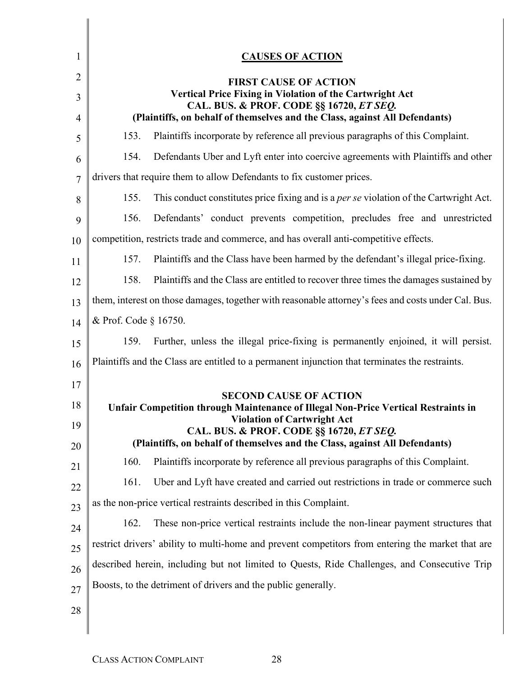| 1  |                       | <b>CAUSES OF ACTION</b>                                                                                                    |
|----|-----------------------|----------------------------------------------------------------------------------------------------------------------------|
| 2  |                       | <b>FIRST CAUSE OF ACTION</b>                                                                                               |
| 3  |                       | Vertical Price Fixing in Violation of the Cartwright Act                                                                   |
| 4  |                       | CAL. BUS. & PROF. CODE §§ 16720, ET SEQ.<br>(Plaintiffs, on behalf of themselves and the Class, against All Defendants)    |
| 5  | 153.                  | Plaintiffs incorporate by reference all previous paragraphs of this Complaint.                                             |
| 6  | 154.                  | Defendants Uber and Lyft enter into coercive agreements with Plaintiffs and other                                          |
| 7  |                       | drivers that require them to allow Defendants to fix customer prices.                                                      |
| 8  | 155.                  | This conduct constitutes price fixing and is a <i>per se</i> violation of the Cartwright Act.                              |
| 9  | 156.                  | Defendants' conduct prevents competition, precludes free and unrestricted                                                  |
| 10 |                       | competition, restricts trade and commerce, and has overall anti-competitive effects.                                       |
| 11 | 157.                  | Plaintiffs and the Class have been harmed by the defendant's illegal price-fixing.                                         |
| 12 | 158.                  | Plaintiffs and the Class are entitled to recover three times the damages sustained by                                      |
| 13 |                       | them, interest on those damages, together with reasonable attorney's fees and costs under Cal. Bus.                        |
| 14 | & Prof. Code § 16750. |                                                                                                                            |
| 15 | 159.                  | Further, unless the illegal price-fixing is permanently enjoined, it will persist.                                         |
| 16 |                       | Plaintiffs and the Class are entitled to a permanent injunction that terminates the restraints.                            |
| 17 |                       |                                                                                                                            |
| 18 |                       | <b>SECOND CAUSE OF ACTION</b><br><b>Unfair Competition through Maintenance of Illegal Non-Price Vertical Restraints in</b> |
| 19 |                       | <b>Violation of Cartwright Act</b><br>CAL. BUS. & PROF. CODE §§ 16720, ET SEQ.                                             |
| 20 |                       | (Plaintiffs, on behalf of themselves and the Class, against All Defendants)                                                |
| 21 | 160.                  | Plaintiffs incorporate by reference all previous paragraphs of this Complaint.                                             |
| 22 | 161.                  | Uber and Lyft have created and carried out restrictions in trade or commerce such                                          |
| 23 |                       | as the non-price vertical restraints described in this Complaint.                                                          |
| 24 | 162.                  | These non-price vertical restraints include the non-linear payment structures that                                         |
| 25 |                       | restrict drivers' ability to multi-home and prevent competitors from entering the market that are                          |
| 26 |                       | described herein, including but not limited to Quests, Ride Challenges, and Consecutive Trip                               |
| 27 |                       | Boosts, to the detriment of drivers and the public generally.                                                              |
| 28 |                       |                                                                                                                            |
|    |                       |                                                                                                                            |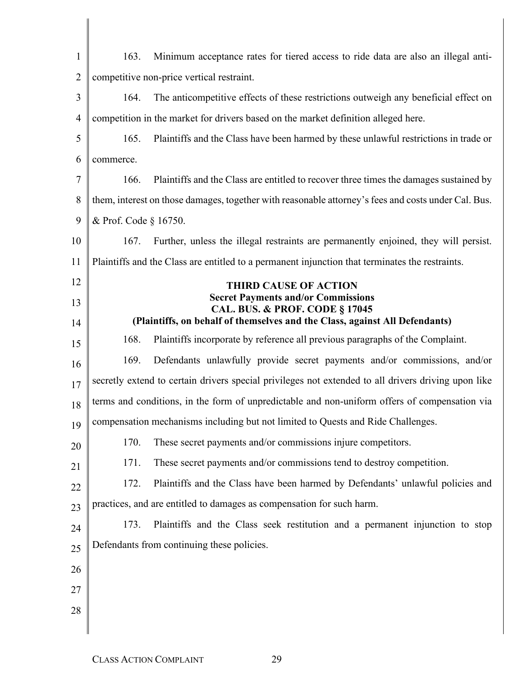| $\mathbf{1}$   | 163.                  | Minimum acceptance rates for tiered access to ride data are also an illegal anti-                   |
|----------------|-----------------------|-----------------------------------------------------------------------------------------------------|
| $\overline{2}$ |                       | competitive non-price vertical restraint.                                                           |
| 3              | 164.                  | The anticompetitive effects of these restrictions outweigh any beneficial effect on                 |
| $\overline{4}$ |                       | competition in the market for drivers based on the market definition alleged here.                  |
| 5              | 165.                  | Plaintiffs and the Class have been harmed by these unlawful restrictions in trade or                |
| 6              | commerce.             |                                                                                                     |
| 7              | 166.                  | Plaintiffs and the Class are entitled to recover three times the damages sustained by               |
| 8              |                       | them, interest on those damages, together with reasonable attorney's fees and costs under Cal. Bus. |
| 9              | & Prof. Code § 16750. |                                                                                                     |
| 10             | 167.                  | Further, unless the illegal restraints are permanently enjoined, they will persist.                 |
| 11             |                       | Plaintiffs and the Class are entitled to a permanent injunction that terminates the restraints.     |
| 12             |                       | <b>THIRD CAUSE OF ACTION</b>                                                                        |
| 13             |                       | <b>Secret Payments and/or Commissions</b><br><b>CAL. BUS. &amp; PROF. CODE § 17045</b>              |
| 14             |                       | (Plaintiffs, on behalf of themselves and the Class, against All Defendants)                         |
| 15             | 168.                  | Plaintiffs incorporate by reference all previous paragraphs of the Complaint.                       |
| 16             | 169.                  | Defendants unlawfully provide secret payments and/or commissions, and/or                            |
| 17             |                       | secretly extend to certain drivers special privileges not extended to all drivers driving upon like |
| 18             |                       | terms and conditions, in the form of unpredictable and non-uniform offers of compensation via       |
| 19             |                       | compensation mechanisms including but not limited to Quests and Ride Challenges.                    |
| 20             | 170.                  | These secret payments and/or commissions injure competitors.                                        |
| 21             | 171.                  | These secret payments and/or commissions tend to destroy competition.                               |
| 22             | 172.                  | Plaintiffs and the Class have been harmed by Defendants' unlawful policies and                      |
| 23             |                       | practices, and are entitled to damages as compensation for such harm.                               |
| 24             | 173.                  | Plaintiffs and the Class seek restitution and a permanent injunction to stop                        |
| 25             |                       | Defendants from continuing these policies.                                                          |
| 26             |                       |                                                                                                     |
| 27             |                       |                                                                                                     |
| 28             |                       |                                                                                                     |
|                |                       |                                                                                                     |
|                |                       |                                                                                                     |

 $\begin{array}{c} \hline \end{array}$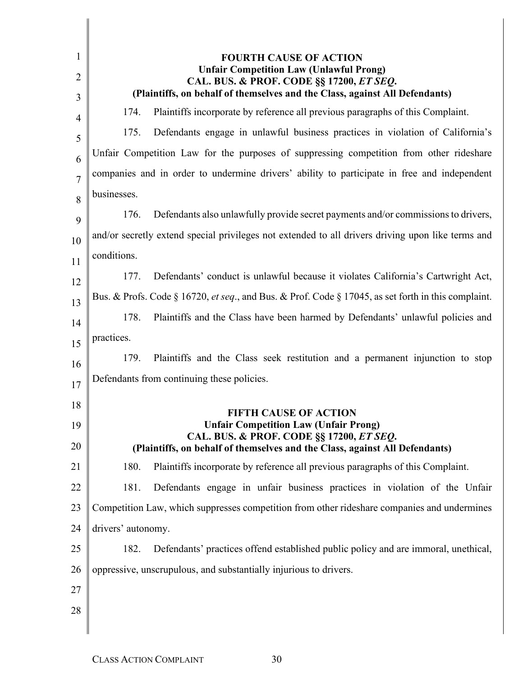| 1<br>2<br>3    | <b>FOURTH CAUSE OF ACTION</b><br><b>Unfair Competition Law (Unlawful Prong)</b><br>CAL. BUS. & PROF. CODE §§ 17200, ET SEQ.<br>(Plaintiffs, on behalf of themselves and the Class, against All Defendants) |
|----------------|------------------------------------------------------------------------------------------------------------------------------------------------------------------------------------------------------------|
| 4              | 174.<br>Plaintiffs incorporate by reference all previous paragraphs of this Complaint.                                                                                                                     |
| 5              | Defendants engage in unlawful business practices in violation of California's<br>175.                                                                                                                      |
| 6              | Unfair Competition Law for the purposes of suppressing competition from other rideshare                                                                                                                    |
| $\overline{7}$ | companies and in order to undermine drivers' ability to participate in free and independent                                                                                                                |
| 8              | businesses.                                                                                                                                                                                                |
| 9              | Defendants also unlawfully provide secret payments and/or commissions to drivers,<br>176.                                                                                                                  |
| 10             | and/or secretly extend special privileges not extended to all drivers driving upon like terms and                                                                                                          |
| 11             | conditions.                                                                                                                                                                                                |
| 12             | 177.<br>Defendants' conduct is unlawful because it violates California's Cartwright Act,                                                                                                                   |
| 13             | Bus. & Profs. Code § 16720, et seq., and Bus. & Prof. Code § 17045, as set forth in this complaint.                                                                                                        |
| 14             | 178.<br>Plaintiffs and the Class have been harmed by Defendants' unlawful policies and                                                                                                                     |
| 15             | practices.                                                                                                                                                                                                 |
| 16             | Plaintiffs and the Class seek restitution and a permanent injunction to stop<br>179.                                                                                                                       |
| 17             | Defendants from continuing these policies.                                                                                                                                                                 |
| 18             |                                                                                                                                                                                                            |
| 19             | <b>FIFTH CAUSE OF ACTION</b><br><b>Unfair Competition Law (Unfair Prong)</b>                                                                                                                               |
| 20             | CAL. BUS. & PROF. CODE §§ 17200, ET SEQ.<br>(Plaintiffs, on behalf of themselves and the Class, against All Defendants)                                                                                    |
| 21             | 180.<br>Plaintiffs incorporate by reference all previous paragraphs of this Complaint.                                                                                                                     |
| 22             | 181.<br>Defendants engage in unfair business practices in violation of the Unfair                                                                                                                          |
| 23             | Competition Law, which suppresses competition from other rideshare companies and undermines                                                                                                                |
| 24             | drivers' autonomy.                                                                                                                                                                                         |
| 25             | Defendants' practices offend established public policy and are immoral, unethical,<br>182.                                                                                                                 |
| 26             | oppressive, unscrupulous, and substantially injurious to drivers.                                                                                                                                          |
| 27             |                                                                                                                                                                                                            |
| 28             |                                                                                                                                                                                                            |
|                |                                                                                                                                                                                                            |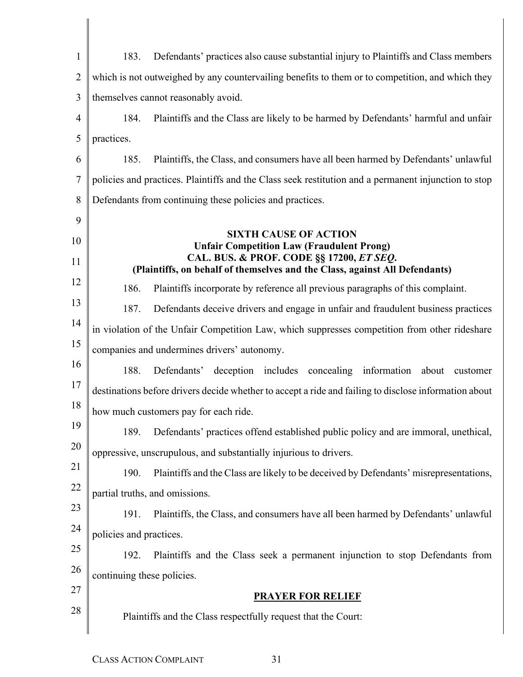| $\mathbf{1}$   | Defendants' practices also cause substantial injury to Plaintiffs and Class members<br>183.                             |
|----------------|-------------------------------------------------------------------------------------------------------------------------|
| $\overline{2}$ | which is not outweighed by any countervailing benefits to them or to competition, and which they                        |
| 3              | themselves cannot reasonably avoid.                                                                                     |
| 4              | Plaintiffs and the Class are likely to be harmed by Defendants' harmful and unfair<br>184.                              |
| 5              | practices.                                                                                                              |
| 6              | 185.<br>Plaintiffs, the Class, and consumers have all been harmed by Defendants' unlawful                               |
| $\overline{7}$ | policies and practices. Plaintiffs and the Class seek restitution and a permanent injunction to stop                    |
| 8              | Defendants from continuing these policies and practices.                                                                |
| 9              |                                                                                                                         |
| 10             | <b>SIXTH CAUSE OF ACTION</b><br><b>Unfair Competition Law (Fraudulent Prong)</b>                                        |
| 11             | CAL. BUS. & PROF. CODE §§ 17200, ET SEQ.<br>(Plaintiffs, on behalf of themselves and the Class, against All Defendants) |
| 12             | 186.<br>Plaintiffs incorporate by reference all previous paragraphs of this complaint.                                  |
| 13             | 187.<br>Defendants deceive drivers and engage in unfair and fraudulent business practices                               |
| 14             | in violation of the Unfair Competition Law, which suppresses competition from other rideshare                           |
| 15             | companies and undermines drivers' autonomy.                                                                             |
| 16             | 188.<br>Defendants'<br>deception includes concealing information<br>about<br>customer                                   |
| 17             | destinations before drivers decide whether to accept a ride and failing to disclose information about                   |
| 18             | how much customers pay for each ride.                                                                                   |
| 19             | 189.<br>Defendants' practices offend established public policy and are immoral, unethical,                              |
| 20             | oppressive, unscrupulous, and substantially injurious to drivers.                                                       |
| 21             | 190.<br>Plaintiffs and the Class are likely to be deceived by Defendants' misrepresentations,                           |
| 22             | partial truths, and omissions.                                                                                          |
| 23             | Plaintiffs, the Class, and consumers have all been harmed by Defendants' unlawful<br>191.                               |
| 24             | policies and practices.                                                                                                 |
| 25             | Plaintiffs and the Class seek a permanent injunction to stop Defendants from<br>192.                                    |
| 26             | continuing these policies.                                                                                              |
| 27             | <b>PRAYER FOR RELIEF</b>                                                                                                |
| 28             | Plaintiffs and the Class respectfully request that the Court:                                                           |

 $\overline{\phantom{a}}$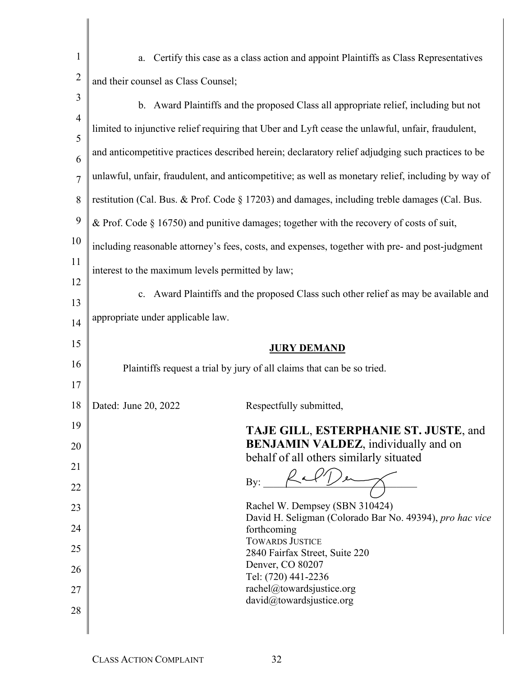| $\mathbf{1}$   | Certify this case as a class action and appoint Plaintiffs as Class Representatives<br>a.          |  |
|----------------|----------------------------------------------------------------------------------------------------|--|
| $\overline{2}$ | and their counsel as Class Counsel;                                                                |  |
| 3              | b. Award Plaintiffs and the proposed Class all appropriate relief, including but not               |  |
| $\overline{4}$ | limited to injunctive relief requiring that Uber and Lyft cease the unlawful, unfair, fraudulent,  |  |
| 5              | and anticompetitive practices described herein; declaratory relief adjudging such practices to be  |  |
| 6              |                                                                                                    |  |
| $\overline{7}$ | unlawful, unfair, fraudulent, and anticompetitive; as well as monetary relief, including by way of |  |
| 8              | restitution (Cal. Bus. & Prof. Code § 17203) and damages, including treble damages (Cal. Bus.      |  |
| 9              | & Prof. Code $\S$ 16750) and punitive damages; together with the recovery of costs of suit,        |  |
| 10             | including reasonable attorney's fees, costs, and expenses, together with pre- and post-judgment    |  |
| 11             | interest to the maximum levels permitted by law;                                                   |  |
| 12             | Award Plaintiffs and the proposed Class such other relief as may be available and<br>c.            |  |
| 13             | appropriate under applicable law.                                                                  |  |
| 14             |                                                                                                    |  |
| 15             | <b>JURY DEMAND</b>                                                                                 |  |
| 16             | Plaintiffs request a trial by jury of all claims that can be so tried.                             |  |
| 17             |                                                                                                    |  |
| 18             | Dated: June 20, 2022<br>Respectfully submitted,                                                    |  |
| 19             | TAJE GILL, ESTERPHANIE ST. JUSTE, and                                                              |  |
| 20             | <b>BENJAMIN VALDEZ</b> , individually and on<br>behalf of all others similarly situated            |  |
| 21             | By:                                                                                                |  |
| 22             | Rachel W. Dempsey (SBN 310424)                                                                     |  |
| 23             | David H. Seligman (Colorado Bar No. 49394), pro hac vice                                           |  |
| 24             | forthcoming<br><b>TOWARDS JUSTICE</b>                                                              |  |
| 25<br>26       | 2840 Fairfax Street, Suite 220<br>Denver, CO 80207                                                 |  |
| 27             | Tel: (720) 441-2236<br>rachel@towardsjustice.org                                                   |  |
| 28             | david@towardsjustice.org                                                                           |  |
|                |                                                                                                    |  |
|                |                                                                                                    |  |

 $\begin{array}{c} \begin{array}{c} \begin{array}{c} \begin{array}{c} \end{array}\\ \end{array} \end{array} \end{array} \end{array}$